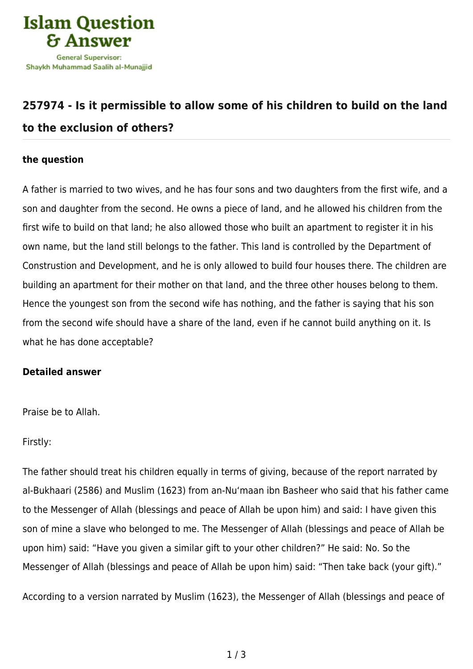

## **[257974 - Is it permissible to allow some of his children to build on the land](https://islamqa.ws/en/answers/257974/is-it-permissible-to-allow-some-of-his-children-to-build-on-the-land-to-the-exclusion-of-others) [to the exclusion of others?](https://islamqa.ws/en/answers/257974/is-it-permissible-to-allow-some-of-his-children-to-build-on-the-land-to-the-exclusion-of-others)**

## **the question**

A father is married to two wives, and he has four sons and two daughters from the first wife, and a son and daughter from the second. He owns a piece of land, and he allowed his children from the first wife to build on that land; he also allowed those who built an apartment to register it in his own name, but the land still belongs to the father. This land is controlled by the Department of Construstion and Development, and he is only allowed to build four houses there. The children are building an apartment for their mother on that land, and the three other houses belong to them. Hence the youngest son from the second wife has nothing, and the father is saying that his son from the second wife should have a share of the land, even if he cannot build anything on it. Is what he has done acceptable?

## **Detailed answer**

Praise be to Allah.

Firstly:

The father should treat his children equally in terms of giving, because of the report narrated by al-Bukhaari (2586) and Muslim (1623) from an-Nu'maan ibn Basheer who said that his father came to the Messenger of Allah (blessings and peace of Allah be upon him) and said: I have given this son of mine a slave who belonged to me. The Messenger of Allah (blessings and peace of Allah be upon him) said: "Have you given a similar gift to your other children?" He said: No. So the Messenger of Allah (blessings and peace of Allah be upon him) said: "Then take back (your gift)."

According to a version narrated by Muslim (1623), the Messenger of Allah (blessings and peace of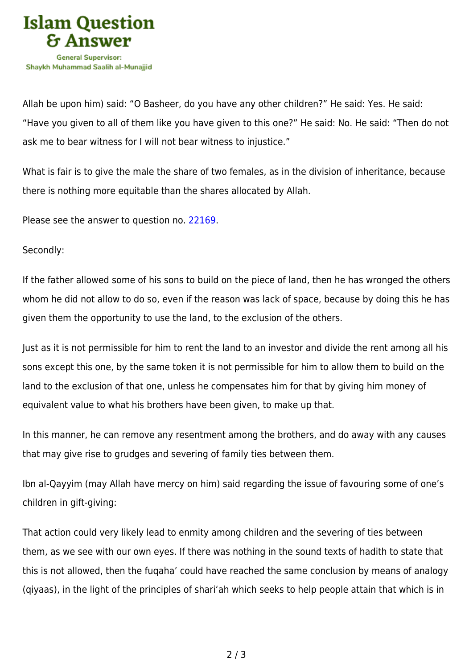

Allah be upon him) said: "O Basheer, do you have any other children?" He said: Yes. He said: "Have you given to all of them like you have given to this one?" He said: No. He said: "Then do not ask me to bear witness for I will not bear witness to injustice."

What is fair is to give the male the share of two females, as in the division of inheritance, because there is nothing more equitable than the shares allocated by Allah.

Please see the answer to question no. [22169.](https://islamqa.ws/en/answers/22169)

Secondly:

If the father allowed some of his sons to build on the piece of land, then he has wronged the others whom he did not allow to do so, even if the reason was lack of space, because by doing this he has given them the opportunity to use the land, to the exclusion of the others.

Just as it is not permissible for him to rent the land to an investor and divide the rent among all his sons except this one, by the same token it is not permissible for him to allow them to build on the land to the exclusion of that one, unless he compensates him for that by giving him money of equivalent value to what his brothers have been given, to make up that.

In this manner, he can remove any resentment among the brothers, and do away with any causes that may give rise to grudges and severing of family ties between them.

Ibn al-Qayyim (may Allah have mercy on him) said regarding the issue of favouring some of one's children in gift-giving:

That action could very likely lead to enmity among children and the severing of ties between them, as we see with our own eyes. If there was nothing in the sound texts of hadith to state that this is not allowed, then the fuqaha' could have reached the same conclusion by means of analogy (qiyaas), in the light of the principles of shari'ah which seeks to help people attain that which is in